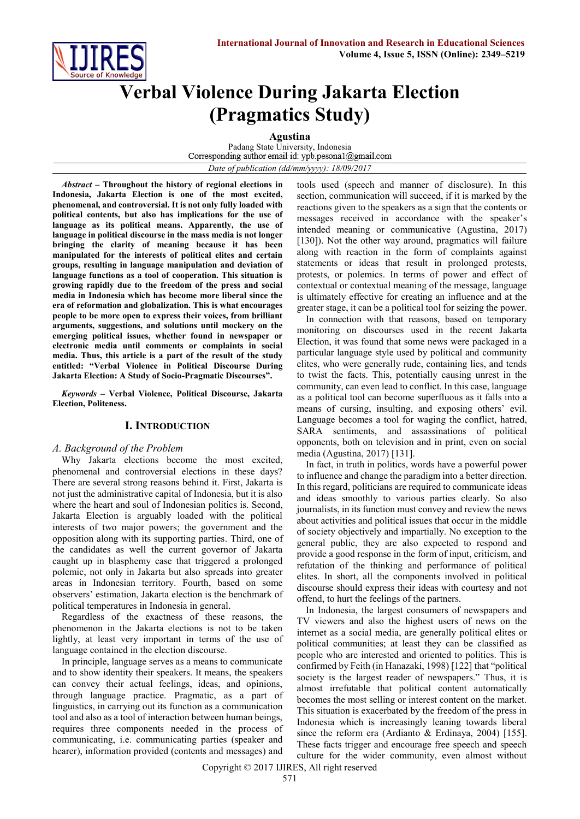

# **Verbal Violence During Jakarta Election (Pragmatics Study)**

**Agustina**

Padang State University, Indonesia<br>Corresponding author email id: ypb.pesona1@gmail.com *Date of publication (dd/mm/yyyy): 18/09/2017*

*Abstract* **– Throughout the history of regional elections in Indonesia, Jakarta Election is one of the most excited, phenomenal, and controversial. It is not only fully loaded with political contents, but also has implications for the use of language as its political means. Apparently, the use of language in political discourse in the mass media is not longer bringing the clarity of meaning because it has been manipulated for the interests of political elites and certain groups, resulting in language manipulation and deviation of language functions as a tool of cooperation. This situation is growing rapidly due to the freedom of the press and social media in Indonesia which has become more liberal since the era of reformation and globalization. This is what encourages people to be more open to express their voices, from brilliant arguments, suggestions, and solutions until mockery on the emerging political issues, whether found in newspaper or electronic media until comments or complaints in social media. Thus, this article is a part of the result of the study entitled: "Verbal Violence in Political Discourse During Jakarta Election: A Study of Socio-Pragmatic Discourses".**

*Keywords –* **Verbal Violence, Political Discourse, Jakarta Election, Politeness.**

# **I. INTRODUCTION**

## *A. Background of the Problem*

Why Jakarta elections become the most excited, phenomenal and controversial elections in these days? There are several strong reasons behind it. First, Jakarta is not just the administrative capital of Indonesia, but it is also where the heart and soul of Indonesian politics is. Second, Jakarta Election is arguably loaded with the political interests of two major powers; the government and the opposition along with its supporting parties. Third, one of the candidates as well the current governor of Jakarta caught up in blasphemy case that triggered a prolonged polemic, not only in Jakarta but also spreads into greater areas in Indonesian territory. Fourth, based on some observers' estimation, Jakarta election is the benchmark of political temperatures in Indonesia in general.

Regardless of the exactness of these reasons, the phenomenon in the Jakarta elections is not to be taken lightly, at least very important in terms of the use of language contained in the election discourse.

In principle, language serves as a means to communicate and to show identity their speakers. It means, the speakers can convey their actual feelings, ideas, and opinions, through language practice. Pragmatic, as a part of linguistics, in carrying out its function as a communication tool and also as a tool of interaction between human beings, requires three components needed in the process of communicating, i.e. communicating parties (speaker and hearer), information provided (contents and messages) and

tools used (speech and manner of disclosure). In this section, communication will succeed, if it is marked by the reactions given to the speakers as a sign that the contents or messages received in accordance with the speaker's intended meaning or communicative (Agustina, 2017) [130]). Not the other way around, pragmatics will failure along with reaction in the form of complaints against statements or ideas that result in prolonged protests, protests, or polemics. In terms of power and effect of contextual or contextual meaning of the message, language is ultimately effective for creating an influence and at the greater stage, it can be a political tool for seizing the power.

In connection with that reasons, based on temporary monitoring on discourses used in the recent Jakarta Election, it was found that some news were packaged in a particular language style used by political and community elites, who were generally rude, containing lies, and tends to twist the facts. This, potentially causing unrest in the community, can even lead to conflict. In this case, language as a political tool can become superfluous as it falls into a means of cursing, insulting, and exposing others' evil. Language becomes a tool for waging the conflict, hatred, SARA sentiments, and assassinations of political opponents, both on television and in print, even on social media (Agustina, 2017) [131].

In fact, in truth in politics, words have a powerful power to influence and change the paradigm into a better direction. In this regard, politicians are required to communicate ideas and ideas smoothly to various parties clearly. So also journalists, in its function must convey and review the news about activities and political issues that occur in the middle of society objectively and impartially. No exception to the general public, they are also expected to respond and provide a good response in the form of input, criticism, and refutation of the thinking and performance of political elites. In short, all the components involved in political discourse should express their ideas with courtesy and not offend, to hurt the feelings of the partners.

In Indonesia, the largest consumers of newspapers and TV viewers and also the highest users of news on the internet as a social media, are generally political elites or political communities; at least they can be classified as people who are interested and oriented to politics. This is confirmed by Feith (in Hanazaki, 1998) [122] that "political society is the largest reader of newspapers." Thus, it is almost irrefutable that political content automatically becomes the most selling or interest content on the market. This situation is exacerbated by the freedom of the press in Indonesia which is increasingly leaning towards liberal since the reform era (Ardianto & Erdinaya, 2004) [155]. These facts trigger and encourage free speech and speech culture for the wider community, even almost without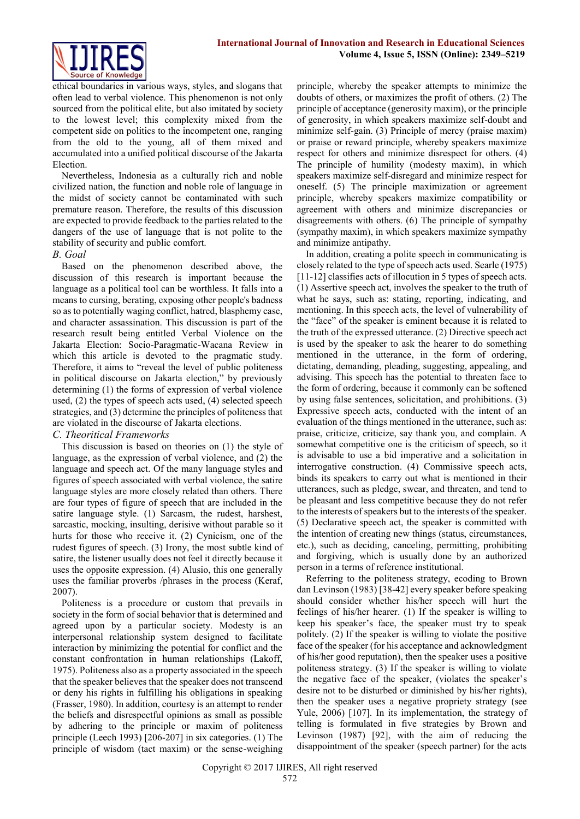

ethical boundaries in various ways, styles, and slogans that often lead to verbal violence. This phenomenon is not only sourced from the political elite, but also imitated by society to the lowest level; this complexity mixed from the competent side on politics to the incompetent one, ranging from the old to the young, all of them mixed and accumulated into a unified political discourse of the Jakarta Election.

Nevertheless, Indonesia as a culturally rich and noble civilized nation, the function and noble role of language in the midst of society cannot be contaminated with such premature reason. Therefore, the results of this discussion are expected to provide feedback to the parties related to the dangers of the use of language that is not polite to the stability of security and public comfort.

## *B. Goal*

Based on the phenomenon described above, the discussion of this research is important because the language as a political tool can be worthless. It falls into a means to cursing, berating, exposing other people's badness so as to potentially waging conflict, hatred, blasphemy case, and character assassination. This discussion is part of the research result being entitled Verbal Violence on the Jakarta Election: Socio-Paragmatic-Wacana Review in which this article is devoted to the pragmatic study. Therefore, it aims to "reveal the level of public politeness in political discourse on Jakarta election," by previously determining (1) the forms of expression of verbal violence used, (2) the types of speech acts used, (4) selected speech strategies, and (3) determine the principles of politeness that are violated in the discourse of Jakarta elections.

## *C. Theoritical Frameworks*

This discussion is based on theories on (1) the style of language, as the expression of verbal violence, and (2) the language and speech act. Of the many language styles and figures of speech associated with verbal violence, the satire language styles are more closely related than others. There are four types of figure of speech that are included in the satire language style. (1) Sarcasm, the rudest, harshest, sarcastic, mocking, insulting, derisive without parable so it hurts for those who receive it. (2) Cynicism, one of the rudest figures of speech. (3) Irony, the most subtle kind of satire, the listener usually does not feel it directly because it uses the opposite expression. (4) Alusio, this one generally uses the familiar proverbs /phrases in the process (Keraf, 2007).

Politeness is a procedure or custom that prevails in society in the form of social behavior that is determined and agreed upon by a particular society. Modesty is an interpersonal relationship system designed to facilitate interaction by minimizing the potential for conflict and the constant confrontation in human relationships (Lakoff, 1975). Politeness also as a property associated in the speech that the speaker believes that the speaker does not transcend or deny his rights in fulfilling his obligations in speaking (Frasser, 1980). In addition, courtesy is an attempt to render the beliefs and disrespectful opinions as small as possible by adhering to the principle or maxim of politeness principle (Leech 1993) [206-207] in six categories. (1) The principle of wisdom (tact maxim) or the sense-weighing

principle, whereby the speaker attempts to minimize the doubts of others, or maximizes the profit of others. (2) The principle of acceptance (generosity maxim), or the principle of generosity, in which speakers maximize self-doubt and minimize self-gain. (3) Principle of mercy (praise maxim) or praise or reward principle, whereby speakers maximize respect for others and minimize disrespect for others. (4) The principle of humility (modesty maxim), in which speakers maximize self-disregard and minimize respect for oneself. (5) The principle maximization or agreement principle, whereby speakers maximize compatibility or agreement with others and minimize discrepancies or disagreements with others. (6) The principle of sympathy (sympathy maxim), in which speakers maximize sympathy and minimize antipathy.

In addition, creating a polite speech in communicating is closely related to the type of speech acts used. Searle (1975) [11-12] classifies acts of illocution in 5 types of speech acts. (1) Assertive speech act, involves the speaker to the truth of what he says, such as: stating, reporting, indicating, and mentioning. In this speech acts, the level of vulnerability of the "face" of the speaker is eminent because it is related to the truth of the expressed utterance. (2) Directive speech act is used by the speaker to ask the hearer to do something mentioned in the utterance, in the form of ordering, dictating, demanding, pleading, suggesting, appealing, and advising. This speech has the potential to threaten face to the form of ordering, because it commonly can be softened by using false sentences, solicitation, and prohibitions. (3) Expressive speech acts, conducted with the intent of an evaluation of the things mentioned in the utterance, such as: praise, criticize, criticize, say thank you, and complain. A somewhat competitive one is the criticism of speech, so it is advisable to use a bid imperative and a solicitation in interrogative construction. (4) Commissive speech acts, binds its speakers to carry out what is mentioned in their utterances, such as pledge, swear, and threaten, and tend to be pleasant and less competitive because they do not refer to the interests of speakers but to the interests of the speaker. (5) Declarative speech act, the speaker is committed with the intention of creating new things (status, circumstances, etc.), such as deciding, canceling, permitting, prohibiting and forgiving, which is usually done by an authorized person in a terms of reference institutional.

Referring to the politeness strategy, ecoding to Brown dan Levinson (1983) [38-42] every speaker before speaking should consider whether his/her speech will hurt the feelings of his/her hearer. (1) If the speaker is willing to keep his speaker's face, the speaker must try to speak politely. (2) If the speaker is willing to violate the positive face of the speaker (for his acceptance and acknowledgment of his/her good reputation), then the speaker uses a positive politeness strategy. (3) If the speaker is willing to violate the negative face of the speaker, (violates the speaker's desire not to be disturbed or diminished by his/her rights), then the speaker uses a negative propriety strategy (see Yule, 2006) [107]. In its implementation, the strategy of telling is formulated in five strategies by Brown and Levinson (1987) [92], with the aim of reducing the disappointment of the speaker (speech partner) for the acts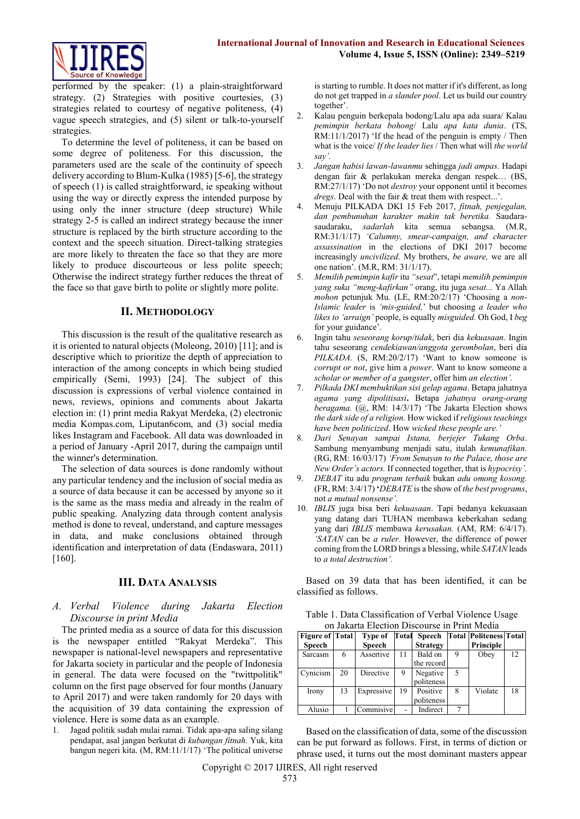

performed by the speaker: (1) a plain-straightforward strategy. (2) Strategies with positive courtesies, (3) strategies related to courtesy of negative politeness, (4) vague speech strategies, and (5) silent or talk-to-yourself strategies.

To determine the level of politeness, it can be based on some degree of politeness. For this discussion, the parameters used are the scale of the continuity of speech delivery according to Blum-Kulka (1985) [5-6], the strategy of speech (1) is called straightforward, ie speaking without using the way or directly express the intended purpose by using only the inner structure (deep structure) While strategy 2-5 is called an indirect strategy because the inner structure is replaced by the birth structure according to the context and the speech situation. Direct-talking strategies are more likely to threaten the face so that they are more likely to produce discourteous or less polite speech; Otherwise the indirect strategy further reduces the threat of the face so that gave birth to polite or slightly more polite.

## **II. METHODOLOGY**

This discussion is the result of the qualitative research as it is oriented to natural objects (Moleong, 2010) [11]; and is descriptive which to prioritize the depth of appreciation to interaction of the among concepts in which being studied empirically (Semi, 1993) [24]. The subject of this discussion is expressions of verbal violence contained in news, reviews, opinions and comments about Jakarta election in: (1) print media Rakyat Merdeka, (2) electronic media Kompas.com, Liputan6com, and (3) social media likes Instagram and Facebook. All data was downloaded in a period of January -April 2017, during the campaign until the winner's determination.

The selection of data sources is done randomly without any particular tendency and the inclusion of social media as a source of data because it can be accessed by anyone so it is the same as the mass media and already in the realm of public speaking. Analyzing data through content analysis method is done to reveal, understand, and capture messages in data, and make conclusions obtained through identification and interpretation of data (Endaswara, 2011) [160].

# **III. DATA ANALYSIS**

## *A. Verbal Violence during Jakarta Election Discourse in print Media*

The printed media as a source of data for this discussion is the newspaper entitled "Rakyat Merdeka". This newspaper is national-level newspapers and representative for Jakarta society in particular and the people of Indonesia in general. The data were focused on the "twittpolitik" column on the first page observed for four months (January to April 2017) and were taken randomly for 20 days with the acquisition of 39 data containing the expression of violence. Here is some data as an example.

1. Jagad politik sudah mulai ramai. Tidak apa-apa saling silang pendapat, asal jangan berkutat di *kubangan fitnah.* Yuk, kita bangun negeri kita. (M, RM:11/1/17) 'The political universe is starting to rumble. It does not matter if it's different, as long do not get trapped in *a slander pool*. Let us build our country together'.

- 2. Kalau penguin berkepala bodong/Lalu apa ada suara/ Kalau *pemimpin berkata bohong*/ Lalu *apa kata dunia*. (TS, RM:11/1/2017) 'If the head of the penguin is empty / Then what is the voice/ *If the leader lies* / Then what will *the world say'.*
- 3. *Jangan habisi lawan-lawanmu* sehingga *jadi ampas*. Hadapi dengan fair & perlakukan mereka dengan respek… (BS, RM:27/1/17) 'Do not *destroy* your opponent until it becomes *dregs*. Deal with the fair & treat them with respect...'.
- 4. Menuju PILKADA DKI 15 Feb 2017, *fitnah, penjegalan, dan pembunuhan karakter makin tak beretika.* Saudarasaudaraku, *sadarlah* kita semua sebangsa. (M.R, RM:31/1/17) *'Calumny, smear-campaign, and character assassination* in the elections of DKI 2017 become increasingly *uncivilized*. My brothers, *be aware,* we are all one nation'. (M.R, RM: 31/1/17).
- 5. *Memilih pemimpin kafir* itu *"sesat*", tetapi *memilih pemimpin yang suka "meng-kafirkan"* orang, itu juga *sesat...* Ya Allah *mohon* petunjuk Mu. (LE, RM:20/2/17) 'Choosing a *non-Islamic leader* is *'mis-guided,*' but choosing *a leader who likes to 'arraign'* people, is equally *misguided.* Oh God, I *beg*  for your guidance'.
- 6. Ingin tahu *seseorang korup/tidak*, beri dia *kekuasaan*. Ingin tahu seseorang *cendekiawan/anggota gerombolan*, beri dia *PILKADA.* (S, RM:20/2/17) 'Want to know someone is *corrupt or not*, give him a *power*. Want to know someone a *scholar or member of a gangster*, offer him *an election'.*
- 7. *Pilkada DKI membuktikan sisi gelap agama*. Betapa jahatnya *agama yang dipolitisasi***.** Betapa *jahatnya orang-orang beragama.* (@, RM: 14/3/17) 'The Jakarta Election shows *the dark side of a religion.* How wicked if *religious teachings have been politicized*. How *wicked these people are.'*
- 8. *Dari Senayan sampai Istana, berjejer Tukang Orba*. Sambung menyambung menjadi satu, itulah *kemunafikan.* (RG, RM: 16/03/17) *'From Senayan to the Palace, those are New Order's actors.* If connected together, that is *hypocrisy'.*
- 9. *DEBAT* itu adu *program terbaik* bukan *adu omong kosong.*  (FR, RM: 3/4/17) **'***DEBATE* is the show of *the best programs*, not *a mutual nonsense'.*
- 10. *IBLIS* juga bisa beri *kekuasaan*. Tapi bedanya kekuasaan yang datang dari TUHAN membawa keberkahan sedang yang dari *IBLIS* membawa *kerusakan.* (AM, RM: 6/4/17). *'SATAN* can be *a ruler*. However, the difference of power coming from the LORD brings a blessing, while *SATAN* leads to *a total destruction'.*

Based on 39 data that has been identified, it can be classified as follows.

| Table 1. Data Classification of Verbal Violence Usage |
|-------------------------------------------------------|
| on Jakarta Election Discourse in Print Media          |

| <u>uli Janaha McCavit Dhvodano ili Milli Wicala</u> |    |            |       |                 |   |                               |    |  |
|-----------------------------------------------------|----|------------|-------|-----------------|---|-------------------------------|----|--|
| <b>Figure of Total</b>                              |    | Type of    | Total | Speech          |   | <b>Total Politeness Total</b> |    |  |
| Speech                                              |    | Speech     |       | <b>Strategy</b> |   | Principle                     |    |  |
| Sarcasm                                             | 6  | Assertive  | 11    | Bald on         | 9 | Obey                          | 12 |  |
|                                                     |    |            |       | the record      |   |                               |    |  |
| Cynicism                                            | 20 | Directive  | 9     | Negative        | 5 |                               |    |  |
|                                                     |    |            |       | politeness      |   |                               |    |  |
| Irony                                               | 13 | Expressive | 19    | Positive        | 8 | Violate                       | 18 |  |
|                                                     |    |            |       | politeness      |   |                               |    |  |
| Alusio                                              |    | Commisive  |       | Indirect        |   |                               |    |  |

Based on the classification of data, some of the discussion can be put forward as follows. First, in terms of diction or phrase used, it turns out the most dominant masters appear

Copyright © 2017 IJIRES, All right reserved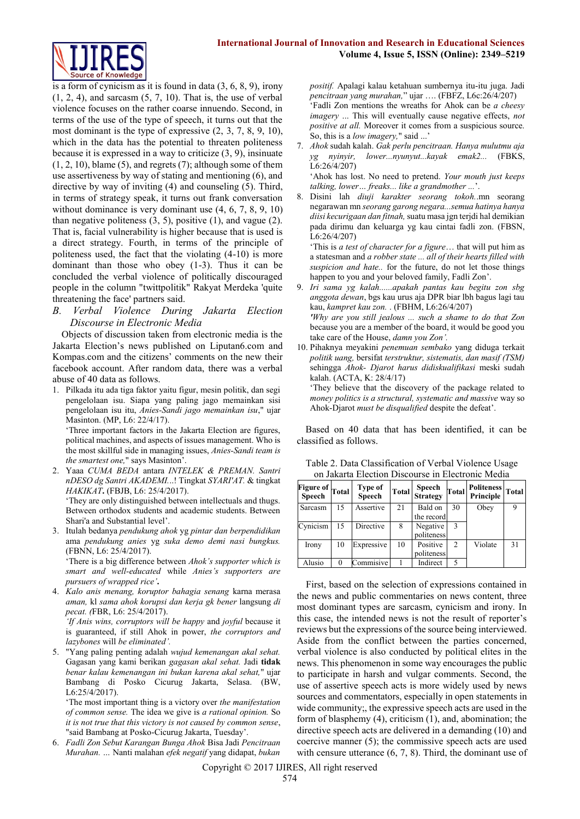

is a form of cynicism as it is found in data  $(3, 6, 8, 9)$ , irony  $(1, 2, 4)$ , and sarcasm  $(5, 7, 10)$ . That is, the use of verbal violence focuses on the rather coarse innuendo. Second, in terms of the use of the type of speech, it turns out that the most dominant is the type of expressive (2, 3, 7, 8, 9, 10), which in the data has the potential to threaten politeness because it is expressed in a way to criticize (3, 9), insinuate  $(1, 2, 10)$ , blame  $(5)$ , and regrets  $(7)$ ; although some of them use assertiveness by way of stating and mentioning (6), and directive by way of inviting (4) and counseling (5). Third, in terms of strategy speak, it turns out frank conversation without dominance is very dominant use  $(4, 6, 7, 8, 9, 10)$ than negative politeness  $(3, 5)$ , positive  $(1)$ , and vague  $(2)$ . That is, facial vulnerability is higher because that is used is a direct strategy. Fourth, in terms of the principle of politeness used, the fact that the violating (4-10) is more dominant than those who obey (1-3). Thus it can be concluded the verbal violence of politically discouraged people in the column "twittpolitik" Rakyat Merdeka 'quite threatening the face' partners said.

*B. Verbal Violence During Jakarta Election Discourse in Electronic Media*

Objects of discussion taken from electronic media is the Jakarta Election's news published on Liputan6.com and Kompas.com and the citizens' comments on the new their facebook account. After random data, there was a verbal abuse of 40 data as follows.

1. Pilkada itu ada tiga faktor yaitu figur, mesin politik, dan segi pengelolaan isu. Siapa yang paling jago memainkan sisi pengelolaan isu itu, *Anies-Sandi jago memainkan isu*," ujar Masinton. (MP, L6: 22/4/17).

'Three important factors in the Jakarta Election are figures, political machines, and aspects of issues management. Who is the most skillful side in managing issues, *Anies-Sandi team is the smartest one,*" says Masinton'.

2. Yaaa *CUMA BEDA* antara *INTELEK & PREMAN. Santri nDESO dg Santri AKADEMI.*..! Tingkat *SYARI'AT.* & tingkat *HAKIKAT***.** (FBJB, L6: 25/4/2017). 'They are only distinguished between intellectuals and thugs.

Between orthodox students and academic students. Between Shari'a and Substantial level'.

3. Itulah bedanya *pendukung ahok* yg *pintar dan berpendidikan* ama *pendukung anies* yg *suka demo demi nasi bungkus.*  (FBNN, L6: 25/4/2017).

'There is a big difference between *Ahok's supporter which is smart and well-educated* while *Anies's supporters are pursuers of wrapped rice'***.**

4. *Kalo anis menang, koruptor bahagia senang* karna merasa *aman,* kl *sama ahok korupsi dan kerja gk bener* langsung *di pecat. (*FBR, L6: 25/4/2017).

*'If Anis wins, corruptors will be happy* and *joyful* because it is guaranteed, if still Ahok in power, *the corruptors and lazybones* will *be eliminated'.*

5. "Yang paling penting adalah *wujud kemenangan akal sehat.*  Gagasan yang kami berikan *gagasan akal sehat.* Jadi **tidak**  *benar kalau kemenangan ini bukan karena akal sehat,*" ujar Bambang di Posko Cicurug Jakarta, Selasa. (BW, L6:25/4/2017).

'The most important thing is a victory over *the manifestation of common sense.* The idea we give is *a rational opinion.* So *it is not true that this victory is not caused by common sense*, "said Bambang at Posko-Cicurug Jakarta, Tuesday'.

6. *Fadli Zon Sebut Karangan Bunga Ahok* Bisa Jadi *Pencitraan Murahan. …* Nanti malahan *efek negatif* yang didapat, *bukan* *positif.* Apalagi kalau ketahuan sumbernya itu-itu juga. Jadi *pencitraan yang murahan,*" ujar …. (FBFZ, L6c:26/4/207) 'Fadli Zon mentions the wreaths for Ahok can be *a cheesy imagery* ... This will eventually cause negative effects, *not positive at all.* Moreover it comes from a suspicious source. So, this is a *low imagery*," said ...

7. *Ahok* sudah kalah. *Gak perlu pencitraan. Hanya mulutmu aja yg nyinyir, lower...nyunyut...kayak emak2...* (FBKS, L6:26/4/207)

'Ahok has lost. No need to pretend. *Your mouth just keeps talking, lower… freaks... like a grandmother ...*'.

8. Disini lah *diuji karakter seorang tokoh.*.mn seorang negarawan mn *seorang garong negara...semua hatinya hanya diisi kecurigaan dan fitnah,*suatu masa jgn terjdi hal demikian pada dirimu dan keluarga yg kau cintai fadli zon. (FBSN, L6:26/4/207)

'This is *a test of character for a figure*… that will put him as a statesman and *a robber state ... all of their hearts filled with suspicion and hate..* for the future, do not let those things happen to you and your beloved family, Fadli Zon'.

9. *Iri sama yg kalah......apakah pantas kau begitu zon sbg anggota dewan*, bgs kau urus aja DPR biar lbh bagus lagi tau kau, *kampret kau zon.* . (FBHM, L6:26/4/207) *'Why are you still jealous ... such a shame to do that Zon* because you are a member of the board, it would be good you take care of the House, *damn you Zon'.*

10. Pihaknya meyakini *penemuan sembako* yang diduga terkait *politik uang,* bersifat *terstruktur, sistematis, dan masif (TSM)*  sehingga *[Ahok-](http://indeks.kompas.com/tag/ahok) [Djarot](http://indeks.kompas.com/tag/djarot) harus didiskualifikasi* meski sudah kalah. (ACTA, K: 28/4/17)

'They believe that the discovery of the package related to *money politics is a structural, systematic and massive* way so Ahok-Djarot *must be disqualified* despite the defeat'.

Based on 40 data that has been identified, it can be classified as follows.

Table 2. Data Classification of Verbal Violence Usage

| on Jakarta Election Discourse in Electronic Media |    |                   |    |            |    |                                     |  |
|---------------------------------------------------|----|-------------------|----|------------|----|-------------------------------------|--|
| Figure of Total                                   |    | Type of<br>Speech |    |            |    | Total Speech Total Politeness Total |  |
| Sarcasm                                           | 15 | Assertive         | 21 | Bald on    | 30 | Obey                                |  |
|                                                   |    |                   |    | the record |    |                                     |  |

Irony 10 Expressive 10 Positive

| Figure of Total<br><b>Speech</b> | Type of<br>Speech |    | Total Speech<br>Strategy | Total | Politeness Total<br>Principle |  |
|----------------------------------|-------------------|----|--------------------------|-------|-------------------------------|--|
| Sarcasm                          | Assertive         | 21 | Bald on                  | 30    | Obey                          |  |
|                                  |                   |    | the record               |       |                               |  |
| Cynicism                         | Directive         |    | Negative                 |       |                               |  |

politeness

2 Violate 31

politeness

Alusio 0 Commisive 1 Indirect 5 First, based on the selection of expressions contained in the news and public commentaries on news content, three most dominant types are sarcasm, cynicism and irony. In this case, the intended news is not the result of reporter's reviews but the expressions of the source being interviewed. Aside from the conflict between the parties concerned, verbal violence is also conducted by political elites in the news. This phenomenon in some way encourages the public to participate in harsh and vulgar comments. Second, the use of assertive speech acts is more widely used by news sources and commentators, especially in open statements in wide community;, the expressive speech acts are used in the form of blasphemy (4), criticism (1), and, abomination; the directive speech acts are delivered in a demanding (10) and coercive manner (5); the commissive speech acts are used with censure utterance  $(6, 7, 8)$ . Third, the dominant use of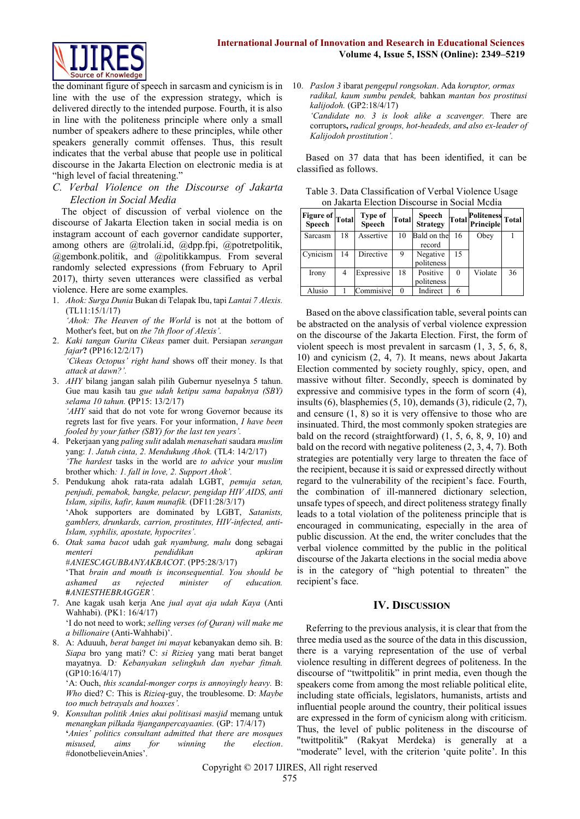

the dominant figure of speech in sarcasm and cynicism is in line with the use of the expression strategy, which is delivered directly to the intended purpose. Fourth, it is also in line with the politeness principle where only a small number of speakers adhere to these principles, while other speakers generally commit offenses. Thus, this result indicates that the verbal abuse that people use in political discourse in the Jakarta Election on electronic media is at "high level of facial threatening."

*C. Verbal Violence on the Discourse of Jakarta Election in Social Media* 

The object of discussion of verbal violence on the discourse of Jakarta Election taken in social media is on instagram account of each governor candidate supporter, among others are @trolali.id, @dpp.fpi, @potretpolitik, @gembonk.politik, and @politikkampus. From several randomly selected expressions (from February to April 2017), thirty seven utterances were classified as verbal violence. Here are some examples.

1. *Ahok: Surga Dunia* Bukan di Telapak Ibu, tapi *Lantai 7 Alexis.* (TL11:15/1/17)

*'Ahok: The Heaven of the World* is not at the bottom of Mother's feet, but on *the 7th floor of Alexis'.*

- 2. *Kaki tangan Gurita Cikeas* pamer duit. Persiapan *serangan fajar***?** (PP16:12/2/17) *'Cikeas Octopus' right hand* shows off their money. Is that
- *attack at dawn?'.* 3. *AHY* bilang jangan salah pilih Gubernur nyeselnya 5 tahun.

Gue mau kasih tau *gue udah ketipu sama bapaknya (SBY) selama 10 tahun.* **(**PP15: 13/2/17) *'AHY* said that do not vote for wrong Governor because its regrets last for five years. For your information, *I have been fooled by your father (SBY) for the last ten years'.*

- 4. Pekerjaan yang *paling sulit* adalah *menasehati* saudara *muslim*  yang: *1. Jatuh cinta, 2. Mendukung Ahok.* (TL4: 14/2/17) *'The hardest* tasks in the world are *to advice* your *muslim*  brother which*: 1. fall in love, 2. Support Ahok'.*
- 5. Pendukung ahok rata-rata adalah LGBT, *pemuja setan, penjudi, pemabok, bangke, pelacur, pengidap HIV AIDS, anti Islam, sipilis, kafir, kaum munafik.* (DF11:28/3/17) 'Ahok supporters are dominated by LGBT, *Satanists, gamblers, drunkards, carrion, prostitutes, HIV-infected, anti-Islam, syphilis, apostate, hypocrites'.*
- 6. *Otak sama bacot* udah *gak nyambung, malu* dong sebagai *menteri pendidikan apkiran* #*ANIESCAGUBBANYAKBACOT*. (PP5:28/3/17)

'That *brain and mouth is inconsequential. You should be ashamed as rejected minister of education.*  **#***ANIESTHEBRAGGER'.*

- 7. Ane kagak usah kerja Ane *jual ayat aja udah Kaya* (Anti Wahhabi). (PK1: 16/4/17) 'I do not need to work; *selling verses (of Quran) will make me a billionaire* (Anti-Wahhabi)'.
- 8. A: Aduuuh, *berat banget ini mayat* kebanyakan demo sih. B: *Siapa* bro yang mati? C: *si Rizieq* yang mati berat banget mayatnya. D*: Kebanyakan selingkuh dan nyebar fitnah.* (GP10:16/4/17)

'A: Ouch, *this scandal-monger corps is annoyingly heavy.* B: *Who* died? C: This is *Rizieq*-guy, the troublesome. D: *Maybe too much betrayals and hoaxes'.*

9. *Konsultan politik Anies akui politisasi masjid* memang untuk *menangkan pilkada #janganpercayaanies.* (GP: 17/4/17) **'***Anies' politics consultant admitted that there are mosques misused, aims for winning the election*. #donotbelieveinAnies'.

10. *Paslon 3* ibarat *pengepul rongsokan*. Ada *koruptor, ormas radikal, kaum sumbu pendek,* bahkan *mantan bos prostitusi kalijodoh.* (GP2:18/4/17) *'Candidate no. 3 is look alike a scavenger.* There are corruptors**,** *radical groups, hot-headeds, and also ex-leader of Kalijodoh prostitution'.*

Based on 37 data that has been identified, it can be classified as follows.

Table 3. Data Classification of Verbal Violence Usage on Jakarta Election Discourse in Social Mcdia

| <b>Figure of</b><br>Speech | Total | Type of<br><b>Speech</b> | <b>Total</b> | Speech<br><b>Strategy</b> | <b>Total</b> | <b>Politeness</b><br>Principle | Total |
|----------------------------|-------|--------------------------|--------------|---------------------------|--------------|--------------------------------|-------|
| Sarcasm                    | 18    | Assertive                | 10           | Bald on the               | 16           | Obey                           |       |
|                            |       |                          |              | record                    |              |                                |       |
| Cynicism                   | 14    | Directive                | 9            | Negative                  | 15           |                                |       |
|                            |       |                          |              | politeness                |              |                                |       |
| Irony                      | 4     | Expressive               | 18           | Positive                  | 0            | Violate                        | 36    |
|                            |       |                          |              | politeness                |              |                                |       |
| Alusio                     |       | Commisive                | 0            | Indirect                  | 6            |                                |       |

Based on the above classification table, several points can be abstracted on the analysis of verbal violence expression on the discourse of the Jakarta Election. First, the form of violent speech is most prevalent in sarcasm (1, 3, 5, 6, 8, 10) and cynicism (2, 4, 7). It means, news about Jakarta Election commented by society roughly, spicy, open, and massive without filter. Secondly, speech is dominated by expressive and commisive types in the form of scorn (4), insults (6), blasphemies (5, 10), demands (3), ridicule (2, 7), and censure (1, 8) so it is very offensive to those who are insinuated. Third, the most commonly spoken strategies are bald on the record (straightforward) (1, 5, 6, 8, 9, 10) and bald on the record with negative politeness (2, 3, 4, 7). Both strategies are potentially very large to threaten the face of the recipient, because it is said or expressed directly without regard to the vulnerability of the recipient's face. Fourth, the combination of ill-mannered dictionary selection, unsafe types of speech, and direct politeness strategy finally leads to a total violation of the politeness principle that is encouraged in communicating, especially in the area of public discussion. At the end, the writer concludes that the verbal violence committed by the public in the political discourse of the Jakarta elections in the social media above is in the category of "high potential to threaten" the recipient's face.

## **IV. DISCUSSION**

Referring to the previous analysis, it is clear that from the three media used as the source of the data in this discussion, there is a varying representation of the use of verbal violence resulting in different degrees of politeness. In the discourse of "twittpolitik" in print media, even though the speakers come from among the most reliable political elite, including state officials, legislators, humanists, artists and influential people around the country, their political issues are expressed in the form of cynicism along with criticism. Thus, the level of public politeness in the discourse of "twittpolitik" (Rakyat Merdeka) is generally at a "moderate" level, with the criterion 'quite polite'. In this

Copyright © 2017 IJIRES, All right reserved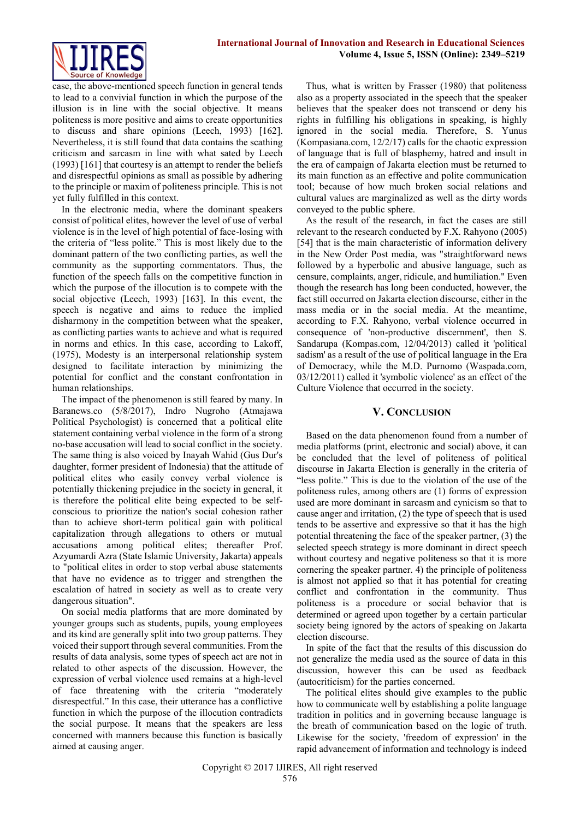

case, the above-mentioned speech function in general tends to lead to a convivial function in which the purpose of the illusion is in line with the social objective. It means politeness is more positive and aims to create opportunities to discuss and share opinions (Leech, 1993) [162]. Nevertheless, it is still found that data contains the scathing criticism and sarcasm in line with what sated by Leech (1993) [161] that courtesy is an attempt to render the beliefs and disrespectful opinions as small as possible by adhering to the principle or maxim of politeness principle. This is not yet fully fulfilled in this context.

In the electronic media, where the dominant speakers consist of political elites, however the level of use of verbal violence is in the level of high potential of face-losing with the criteria of "less polite." This is most likely due to the dominant pattern of the two conflicting parties, as well the community as the supporting commentators. Thus, the function of the speech falls on the competitive function in which the purpose of the illocution is to compete with the social objective (Leech, 1993) [163]. In this event, the speech is negative and aims to reduce the implied disharmony in the competition between what the speaker, as conflicting parties wants to achieve and what is required in norms and ethics. In this case, according to Lakoff, (1975), Modesty is an interpersonal relationship system designed to facilitate interaction by minimizing the potential for conflict and the constant confrontation in human relationships.

The impact of the phenomenon is still feared by many. In Baranews.co (5/8/2017), Indro Nugroho (Atmajawa Political Psychologist) is concerned that a political elite statement containing verbal violence in the form of a strong no-base accusation will lead to social conflict in the society. The same thing is also voiced by Inayah Wahid (Gus Dur's daughter, former president of Indonesia) that the attitude of political elites who easily convey verbal violence is potentially thickening prejudice in the society in general, it is therefore the political elite being expected to be selfconscious to prioritize the nation's social cohesion rather than to achieve short-term political gain with political capitalization through allegations to others or mutual accusations among political elites; thereafter Prof. Azyumardi Azra (State Islamic University, Jakarta) appeals to "political elites in order to stop verbal abuse statements that have no evidence as to trigger and strengthen the escalation of hatred in society as well as to create very dangerous situation".

On social media platforms that are more dominated by younger groups such as students, pupils, young employees and its kind are generally split into two group patterns. They voiced their support through several communities. From the results of data analysis, some types of speech act are not in related to other aspects of the discussion. However, the expression of verbal violence used remains at a high-level of face threatening with the criteria "moderately disrespectful." In this case, their utterance has a conflictive function in which the purpose of the illocution contradicts the social purpose. It means that the speakers are less concerned with manners because this function is basically aimed at causing anger.

Thus, what is written by Frasser (1980) that politeness also as a property associated in the speech that the speaker believes that the speaker does not transcend or deny his rights in fulfilling his obligations in speaking, is highly ignored in the social media. Therefore, S. Yunus (Kompasiana.com, 12/2/17) calls for the chaotic expression of language that is full of blasphemy, hatred and insult in the era of campaign of Jakarta election must be returned to its main function as an effective and polite communication tool; because of how much broken social relations and cultural values are marginalized as well as the dirty words conveyed to the public sphere.

As the result of the research, in fact the cases are still relevant to the research conducted by F.X. Rahyono (2005) [54] that is the main characteristic of information delivery in the New Order Post media, was "straightforward news followed by a hyperbolic and abusive language, such as censure, complaints, anger, ridicule, and humiliation." Even though the research has long been conducted, however, the fact still occurred on Jakarta election discourse, either in the mass media or in the social media. At the meantime, according to F.X. Rahyono, verbal violence occurred in consequence of 'non-productive discernment', then S. Sandarupa (Kompas.com, 12/04/2013) called it 'political sadism' as a result of the use of political language in the Era of Democracy, while the M.D. Purnomo (Waspada.com, 03/12/2011) called it 'symbolic violence' as an effect of the Culture Violence that occurred in the society.

## **V. CONCLUSION**

Based on the data phenomenon found from a number of media platforms (print, electronic and social) above, it can be concluded that the level of politeness of political discourse in Jakarta Election is generally in the criteria of "less polite." This is due to the violation of the use of the politeness rules, among others are (1) forms of expression used are more dominant in sarcasm and cynicism so that to cause anger and irritation, (2) the type of speech that is used tends to be assertive and expressive so that it has the high potential threatening the face of the speaker partner, (3) the selected speech strategy is more dominant in direct speech without courtesy and negative politeness so that it is more cornering the speaker partner. 4) the principle of politeness is almost not applied so that it has potential for creating conflict and confrontation in the community. Thus politeness is a procedure or social behavior that is determined or agreed upon together by a certain particular society being ignored by the actors of speaking on Jakarta election discourse.

In spite of the fact that the results of this discussion do not generalize the media used as the source of data in this discussion, however this can be used as feedback (autocriticism) for the parties concerned.

The political elites should give examples to the public how to communicate well by establishing a polite language tradition in politics and in governing because language is the breath of communication based on the logic of truth. Likewise for the society, 'freedom of expression' in the rapid advancement of information and technology is indeed